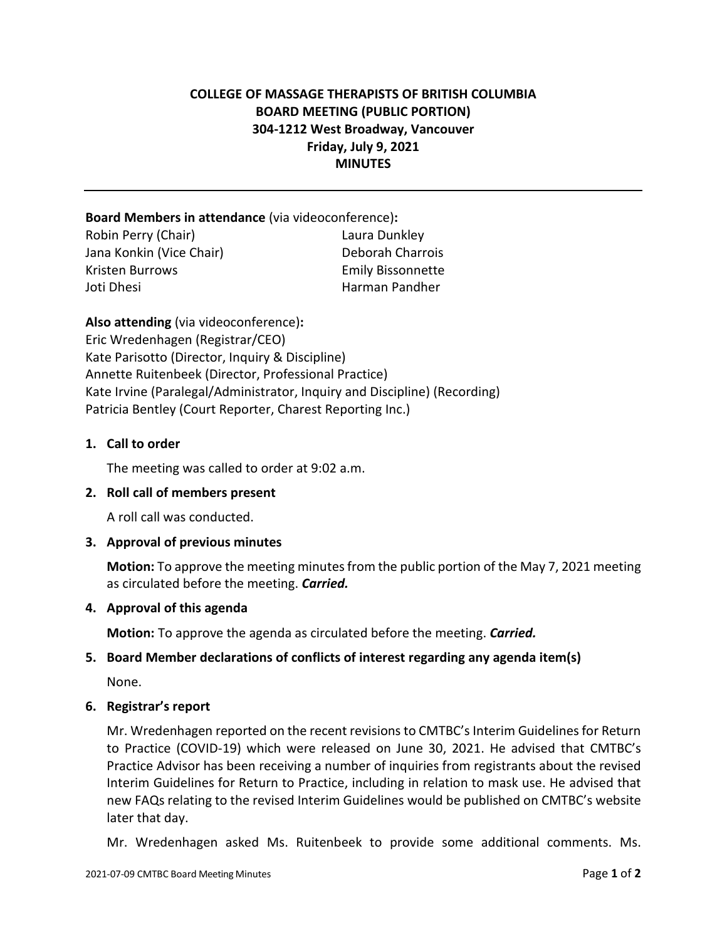# **COLLEGE OF MASSAGE THERAPISTS OF BRITISH COLUMBIA BOARD MEETING (PUBLIC PORTION) 304-1212 West Broadway, Vancouver Friday, July 9, 2021 MINUTES**

## **Board Members in attendance** (via videoconference)**:**

| Robin Perry (Chair)      | Laura Dunkley            |
|--------------------------|--------------------------|
| Jana Konkin (Vice Chair) | Deborah Charrois         |
| Kristen Burrows          | <b>Emily Bissonnette</b> |
| Joti Dhesi               | Harman Pandher           |

**Also attending** (via videoconference)**:** Eric Wredenhagen (Registrar/CEO) Kate Parisotto (Director, Inquiry & Discipline) Annette Ruitenbeek (Director, Professional Practice) Kate Irvine (Paralegal/Administrator, Inquiry and Discipline) (Recording) Patricia Bentley (Court Reporter, Charest Reporting Inc.)

## **1. Call to order**

The meeting was called to order at 9:02 a.m.

## **2. Roll call of members present**

A roll call was conducted.

## **3. Approval of previous minutes**

**Motion:** To approve the meeting minutes from the public portion of the May 7, 2021 meeting as circulated before the meeting. *Carried.*

### **4. Approval of this agenda**

**Motion:** To approve the agenda as circulated before the meeting. *Carried.*

## **5. Board Member declarations of conflicts of interest regarding any agenda item(s)**

None.

## **6. Registrar's report**

Mr. Wredenhagen reported on the recent revisions to CMTBC's Interim Guidelines for Return to Practice (COVID-19) which were released on June 30, 2021. He advised that CMTBC's Practice Advisor has been receiving a number of inquiries from registrants about the revised Interim Guidelines for Return to Practice, including in relation to mask use. He advised that new FAQs relating to the revised Interim Guidelines would be published on CMTBC's website later that day.

Mr. Wredenhagen asked Ms. Ruitenbeek to provide some additional comments. Ms.